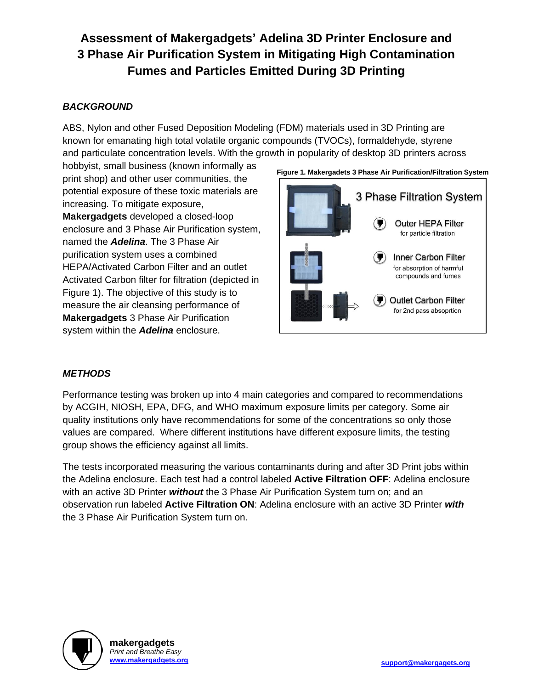# **Assessment of Makergadgets' Adelina 3D Printer Enclosure and 3 Phase Air Purification System in Mitigating High Contamination Fumes and Particles Emitted During 3D Printing**

## *BACKGROUND*

ABS, Nylon and other Fused Deposition Modeling (FDM) materials used in 3D Printing are known for emanating high total volatile organic compounds (TVOCs), formaldehyde, styrene and particulate concentration levels. With the growth in popularity of desktop 3D printers across

hobbyist, small business (known informally as print shop) and other user communities, the potential exposure of these toxic materials are increasing. To mitigate exposure, **Makergadgets** developed a closed-loop enclosure and 3 Phase Air Purification system, named the *Adelina*. The 3 Phase Air purification system uses a combined HEPA/Activated Carbon Filter and an outlet Activated Carbon filter for filtration (depicted in Figure 1). The objective of this study is to measure the air cleansing performance of **Makergadgets** 3 Phase Air Purification system within the *Adelina* enclosure.



## *METHODS*

Performance testing was broken up into 4 main categories and compared to recommendations by ACGIH, NIOSH, EPA, DFG, and WHO maximum exposure limits per category. Some air quality institutions only have recommendations for some of the concentrations so only those values are compared. Where different institutions have different exposure limits, the testing group shows the efficiency against all limits.

The tests incorporated measuring the various contaminants during and after 3D Print jobs within the Adelina enclosure. Each test had a control labeled **Active Filtration OFF**: Adelina enclosure with an active 3D Printer *without* the 3 Phase Air Purification System turn on; and an observation run labeled **Active Filtration ON**: Adelina enclosure with an active 3D Printer *with* the 3 Phase Air Purification System turn on.

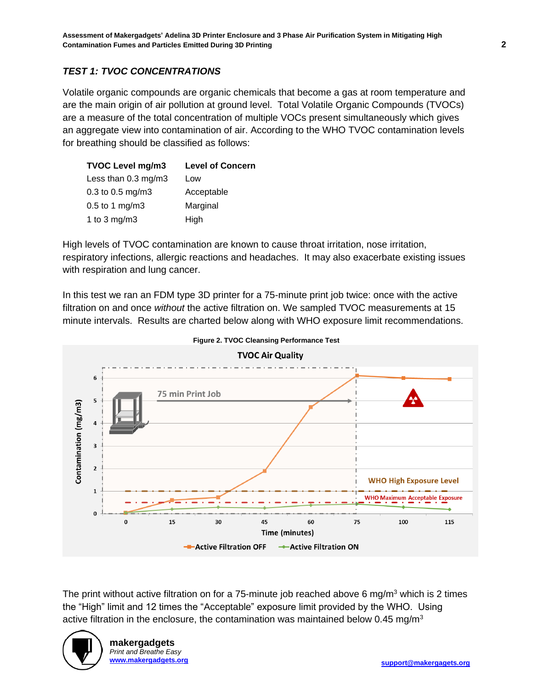## *TEST 1: TVOC CONCENTRATIONS*

Volatile organic compounds are organic chemicals that become a gas at room temperature and are the main origin of air pollution at ground level. Total Volatile Organic Compounds (TVOCs) are a measure of the total concentration of multiple VOCs present simultaneously which gives an aggregate view into contamination of air. According to the WHO TVOC contamination levels for breathing should be classified as follows:

| <b>TVOC Level mg/m3</b>        | <b>Level of Concern</b> |
|--------------------------------|-------------------------|
| Less than $0.3 \text{ mg/m}$ 3 | Low                     |
| $0.3$ to 0.5 mg/m3             | Acceptable              |
| $0.5$ to 1 mg/m3               | Marginal                |
| 1 to 3 mg/m3                   | High                    |

High levels of TVOC contamination are known to cause throat irritation, nose irritation, respiratory infections, allergic reactions and headaches. It may also exacerbate existing issues with respiration and lung cancer.

In this test we ran an FDM type 3D printer for a 75-minute print job twice: once with the active filtration on and once *without* the active filtration on. We sampled TVOC measurements at 15 minute intervals. Results are charted below along with WHO exposure limit recommendations.





The print without active filtration on for a 75-minute job reached above 6 mg/m<sup>3</sup> which is 2 times the "High" limit and 12 times the "Acceptable" exposure limit provided by the WHO. Using active filtration in the enclosure, the contamination was maintained below 0.45 mg/m<sup>3</sup>

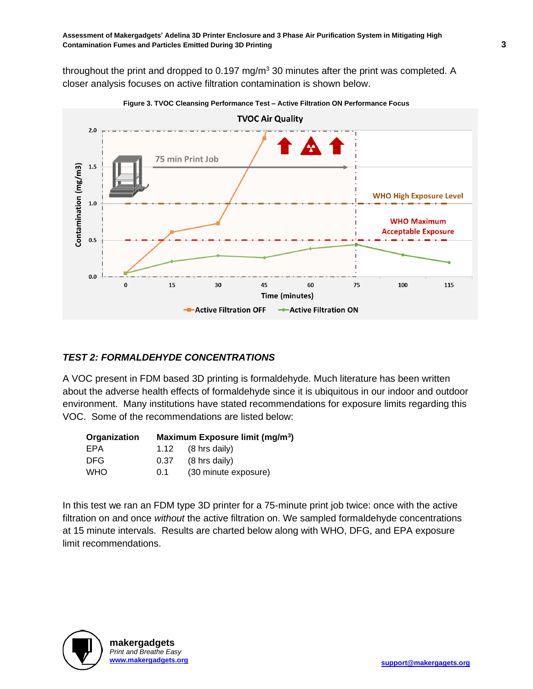throughout the print and dropped to  $0.197$  mg/m<sup>3</sup> 30 minutes after the print was completed. A closer analysis focuses on active filtration contamination is shown below.





#### *TEST 2: FORMALDEHYDE CONCENTRATIONS*

A VOC present in FDM based 3D printing is formaldehyde. Much literature has been written about the adverse health effects of formaldehyde since it is ubiquitous in our indoor and outdoor environment. Many institutions have stated recommendations for exposure limits regarding this VOC. Some of the recommendations are listed below:

| Organization |      | Maximum Exposure limit (mg/m <sup>3</sup> ) |
|--------------|------|---------------------------------------------|
| EPA          |      | 1.12 $(8 \text{ hrs daily})$                |
| DFG.         | 0.37 | $(8 \text{ hrs daily})$                     |
| <b>WHO</b>   | 0.1  | (30 minute exposure)                        |

In this test we ran an FDM type 3D printer for a 75-minute print job twice: once with the active filtration on and once *without* the active filtration on. We sampled formaldehyde concentrations at 15 minute intervals. Results are charted below along with WHO, DFG, and EPA exposure limit recommendations.

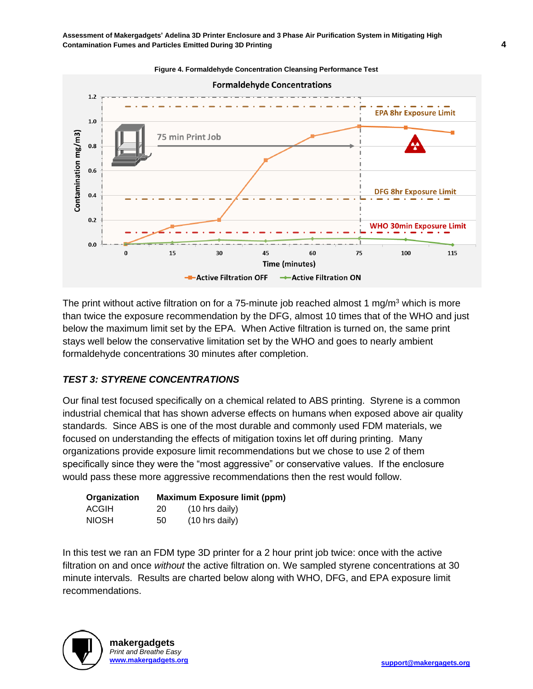

**Figure 4. Formaldehyde Concentration Cleansing Performance Test**

The print without active filtration on for a 75-minute job reached almost 1 mg/m<sup>3</sup> which is more than twice the exposure recommendation by the DFG, almost 10 times that of the WHO and just below the maximum limit set by the EPA. When Active filtration is turned on, the same print stays well below the conservative limitation set by the WHO and goes to nearly ambient formaldehyde concentrations 30 minutes after completion.

#### *TEST 3: STYRENE CONCENTRATIONS*

Our final test focused specifically on a chemical related to ABS printing. Styrene is a common industrial chemical that has shown adverse effects on humans when exposed above air quality standards. Since ABS is one of the most durable and commonly used FDM materials, we focused on understanding the effects of mitigation toxins let off during printing. Many organizations provide exposure limit recommendations but we chose to use 2 of them specifically since they were the "most aggressive" or conservative values. If the enclosure would pass these more aggressive recommendations then the rest would follow.

| Organization |    | <b>Maximum Exposure limit (ppm)</b> |
|--------------|----|-------------------------------------|
| ACGIH        | 20 | $(10 \text{ hrs daily})$            |
| <b>NIOSH</b> | 50 | (10 hrs daily)                      |

In this test we ran an FDM type 3D printer for a 2 hour print job twice: once with the active filtration on and once *without* the active filtration on. We sampled styrene concentrations at 30 minute intervals. Results are charted below along with WHO, DFG, and EPA exposure limit recommendations.

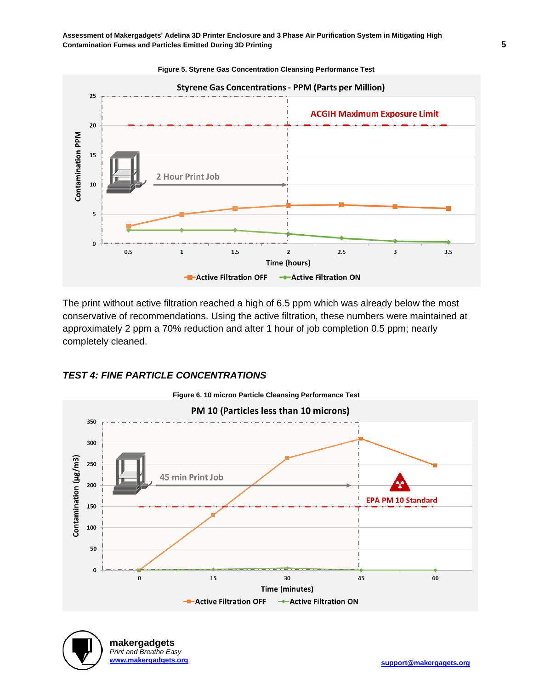

The print without active filtration reached a high of 6.5 ppm which was already below the most conservative of recommendations. Using the active filtration, these numbers were maintained at approximately 2 ppm a 70% reduction and after 1 hour of job completion 0.5 ppm; nearly completely cleaned.

## *TEST 4: FINE PARTICLE CONCENTRATIONS*



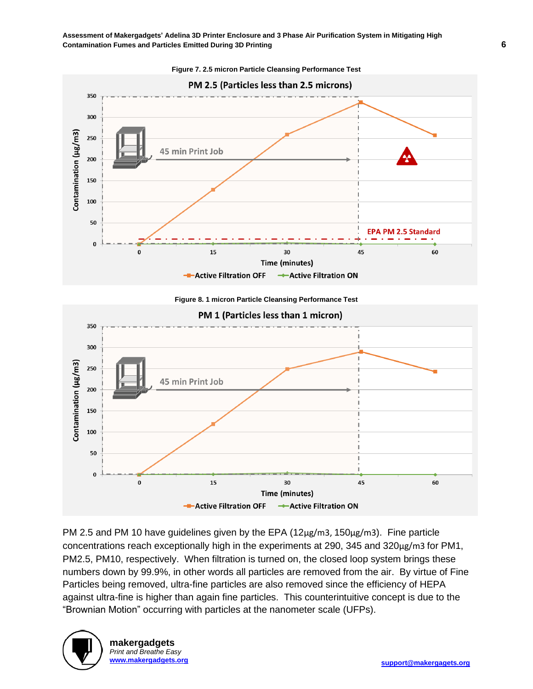**Assessment of Makergadgets' Adelina 3D Printer Enclosure and 3 Phase Air Purification System in Mitigating High Contamination Fumes and Particles Emitted During 3D Printing 6**



**Figure 7. 2.5 micron Particle Cleansing Performance Test**





PM 2.5 and PM 10 have guidelines given by the EPA (12µg/m3, 150µg/m3). Fine particle concentrations reach exceptionally high in the experiments at 290, 345 and 320µg/m3 for PM1, PM2.5, PM10, respectively. When filtration is turned on, the closed loop system brings these numbers down by 99.9%, in other words all particles are removed from the air. By virtue of Fine Particles being removed, ultra-fine particles are also removed since the efficiency of HEPA against ultra-fine is higher than again fine particles. This counterintuitive concept is due to the "Brownian Motion" occurring with particles at the nanometer scale (UFPs).